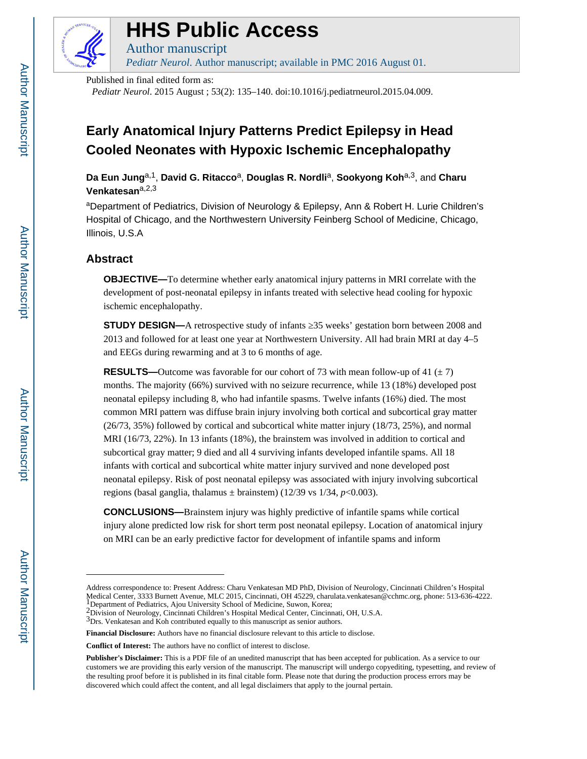

# **HHS Public Access**

Author manuscript *Pediatr Neurol*. Author manuscript; available in PMC 2016 August 01.

Published in final edited form as:

*Pediatr Neurol*. 2015 August ; 53(2): 135–140. doi:10.1016/j.pediatrneurol.2015.04.009.

## **Early Anatomical Injury Patterns Predict Epilepsy in Head Cooled Neonates with Hypoxic Ischemic Encephalopathy**

Da Eun Jung<sup>a,1</sup>, David G. Ritacco<sup>a</sup>, Douglas R. Nordli<sup>a</sup>, Sookyong Koh<sup>a,3</sup>, and Charu **Venkatesan**a,2,3

aDepartment of Pediatrics, Division of Neurology & Epilepsy, Ann & Robert H. Lurie Children's Hospital of Chicago, and the Northwestern University Feinberg School of Medicine, Chicago, Illinois, U.S.A

## **Abstract**

**OBJECTIVE—**To determine whether early anatomical injury patterns in MRI correlate with the development of post-neonatal epilepsy in infants treated with selective head cooling for hypoxic ischemic encephalopathy.

**STUDY DESIGN—**A retrospective study of infants 25 weeks' gestation born between 2008 and 2013 and followed for at least one year at Northwestern University. All had brain MRI at day 4–5 and EEGs during rewarming and at 3 to 6 months of age.

**RESULTS—Outcome** was favorable for our cohort of 73 with mean follow-up of 41 ( $\pm$  7) months. The majority (66%) survived with no seizure recurrence, while 13 (18%) developed post neonatal epilepsy including 8, who had infantile spasms. Twelve infants (16%) died. The most common MRI pattern was diffuse brain injury involving both cortical and subcortical gray matter (26/73, 35%) followed by cortical and subcortical white matter injury (18/73, 25%), and normal MRI (16/73, 22%). In 13 infants (18%), the brainstem was involved in addition to cortical and subcortical gray matter; 9 died and all 4 surviving infants developed infantile spams. All 18 infants with cortical and subcortical white matter injury survived and none developed post neonatal epilepsy. Risk of post neonatal epilepsy was associated with injury involving subcortical regions (basal ganglia, thalamus  $\pm$  brainstem) (12/39 vs 1/34, *p*<0.003).

**CONCLUSIONS—**Brainstem injury was highly predictive of infantile spams while cortical injury alone predicted low risk for short term post neonatal epilepsy. Location of anatomical injury on MRI can be an early predictive factor for development of infantile spams and inform

Address correspondence to: Present Address: Charu Venkatesan MD PhD, Division of Neurology, Cincinnati Children's Hospital Medical Center, 3333 Burnett Avenue, MLC 2015, Cincinnati, OH 45229, charulata.venkatesan@cchmc.org, phone: 513-636-4222. 1Department of Pediatrics, Ajou University School of Medicine, Suwon, Korea;

<sup>&</sup>lt;sup>2</sup>Division of Neurology, Cincinnati Children's Hospital Medical Center, Cincinnati, OH, U.S.A.

<sup>&</sup>lt;sup>3</sup>Drs. Venkatesan and Koh contributed equally to this manuscript as senior authors.

**Financial Disclosure:** Authors have no financial disclosure relevant to this article to disclose.

**Conflict of Interest:** The authors have no conflict of interest to disclose.

**Publisher's Disclaimer:** This is a PDF file of an unedited manuscript that has been accepted for publication. As a service to our customers we are providing this early version of the manuscript. The manuscript will undergo copyediting, typesetting, and review of the resulting proof before it is published in its final citable form. Please note that during the production process errors may be discovered which could affect the content, and all legal disclaimers that apply to the journal pertain.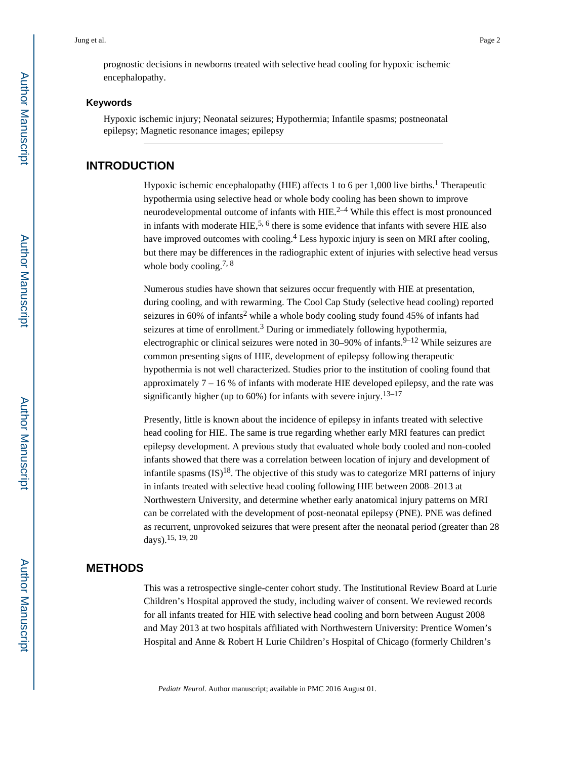prognostic decisions in newborns treated with selective head cooling for hypoxic ischemic encephalopathy.

#### **Keywords**

Hypoxic ischemic injury; Neonatal seizures; Hypothermia; Infantile spasms; postneonatal epilepsy; Magnetic resonance images; epilepsy

## **INTRODUCTION**

Hypoxic ischemic encephalopathy (HIE) affects 1 to 6 per 1,000 live births.<sup>1</sup> Therapeutic hypothermia using selective head or whole body cooling has been shown to improve neurodevelopmental outcome of infants with  $HIE^{2-4}$  While this effect is most pronounced in infants with moderate  $HIE$ ,  $5.6$  there is some evidence that infants with severe  $HIE$  also have improved outcomes with cooling.<sup>4</sup> Less hypoxic injury is seen on MRI after cooling, but there may be differences in the radiographic extent of injuries with selective head versus whole body cooling.<sup>7, 8</sup>

Numerous studies have shown that seizures occur frequently with HIE at presentation, during cooling, and with rewarming. The Cool Cap Study (selective head cooling) reported seizures in  $60\%$  of infants<sup>2</sup> while a whole body cooling study found 45% of infants had seizures at time of enrollment.<sup>3</sup> During or immediately following hypothermia, electrographic or clinical seizures were noted in  $30-90\%$  of infants.<sup>9-12</sup> While seizures are common presenting signs of HIE, development of epilepsy following therapeutic hypothermia is not well characterized. Studies prior to the institution of cooling found that approximately 7 – 16 % of infants with moderate HIE developed epilepsy, and the rate was significantly higher (up to  $60\%$ ) for infants with severe injury.<sup>13–17</sup>

Presently, little is known about the incidence of epilepsy in infants treated with selective head cooling for HIE. The same is true regarding whether early MRI features can predict epilepsy development. A previous study that evaluated whole body cooled and non-cooled infants showed that there was a correlation between location of injury and development of infantile spasms  $(IS)^{18}$ . The objective of this study was to categorize MRI patterns of injury in infants treated with selective head cooling following HIE between 2008–2013 at Northwestern University, and determine whether early anatomical injury patterns on MRI can be correlated with the development of post-neonatal epilepsy (PNE). PNE was defined as recurrent, unprovoked seizures that were present after the neonatal period (greater than 28 days).  $15, 19, 20$ 

## **METHODS**

This was a retrospective single-center cohort study. The Institutional Review Board at Lurie Children's Hospital approved the study, including waiver of consent. We reviewed records for all infants treated for HIE with selective head cooling and born between August 2008 and May 2013 at two hospitals affiliated with Northwestern University: Prentice Women's Hospital and Anne & Robert H Lurie Children's Hospital of Chicago (formerly Children's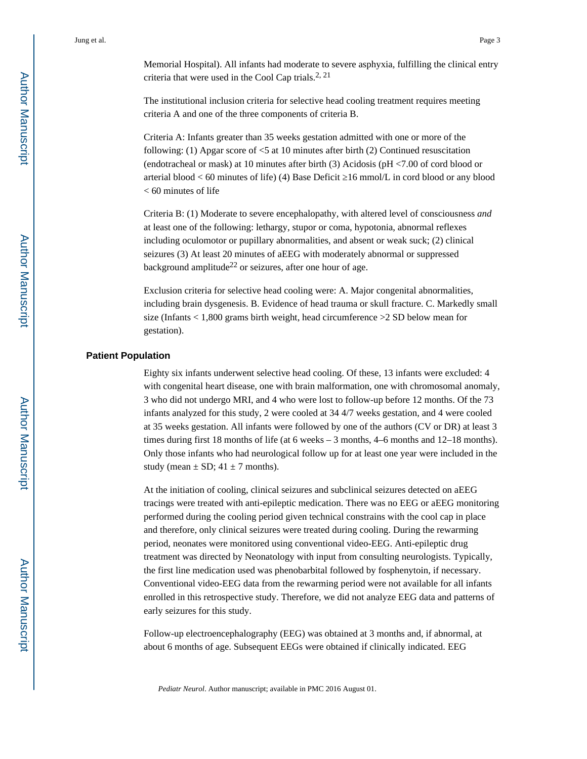Memorial Hospital). All infants had moderate to severe asphyxia, fulfilling the clinical entry criteria that were used in the Cool Cap trials.<sup>2, 21</sup>

The institutional inclusion criteria for selective head cooling treatment requires meeting criteria A and one of the three components of criteria B.

Criteria A: Infants greater than 35 weeks gestation admitted with one or more of the following: (1) Apgar score of <5 at 10 minutes after birth (2) Continued resuscitation (endotracheal or mask) at 10 minutes after birth (3) Acidosis (pH <7.00 of cord blood or arterial blood  $<$  60 minutes of life) (4) Base Deficit 16 mmol/L in cord blood or any blood < 60 minutes of life

Criteria B: (1) Moderate to severe encephalopathy, with altered level of consciousness *and*  at least one of the following: lethargy, stupor or coma, hypotonia, abnormal reflexes including oculomotor or pupillary abnormalities, and absent or weak suck; (2) clinical seizures (3) At least 20 minutes of aEEG with moderately abnormal or suppressed background amplitude<sup>22</sup> or seizures, after one hour of age.

Exclusion criteria for selective head cooling were: A. Major congenital abnormalities, including brain dysgenesis. B. Evidence of head trauma or skull fracture. C. Markedly small size (Infants < 1,800 grams birth weight, head circumference >2 SD below mean for gestation).

#### **Patient Population**

Eighty six infants underwent selective head cooling. Of these, 13 infants were excluded: 4 with congenital heart disease, one with brain malformation, one with chromosomal anomaly, 3 who did not undergo MRI, and 4 who were lost to follow-up before 12 months. Of the 73 infants analyzed for this study, 2 were cooled at 34 4/7 weeks gestation, and 4 were cooled at 35 weeks gestation. All infants were followed by one of the authors (CV or DR) at least 3 times during first 18 months of life (at 6 weeks – 3 months, 4–6 months and 12–18 months). Only those infants who had neurological follow up for at least one year were included in the study (mean  $\pm$  SD; 41  $\pm$  7 months).

At the initiation of cooling, clinical seizures and subclinical seizures detected on aEEG tracings were treated with anti-epileptic medication. There was no EEG or aEEG monitoring performed during the cooling period given technical constrains with the cool cap in place and therefore, only clinical seizures were treated during cooling. During the rewarming period, neonates were monitored using conventional video-EEG. Anti-epileptic drug treatment was directed by Neonatology with input from consulting neurologists. Typically, the first line medication used was phenobarbital followed by fosphenytoin, if necessary. Conventional video-EEG data from the rewarming period were not available for all infants enrolled in this retrospective study. Therefore, we did not analyze EEG data and patterns of early seizures for this study.

Follow-up electroencephalography (EEG) was obtained at 3 months and, if abnormal, at about 6 months of age. Subsequent EEGs were obtained if clinically indicated. EEG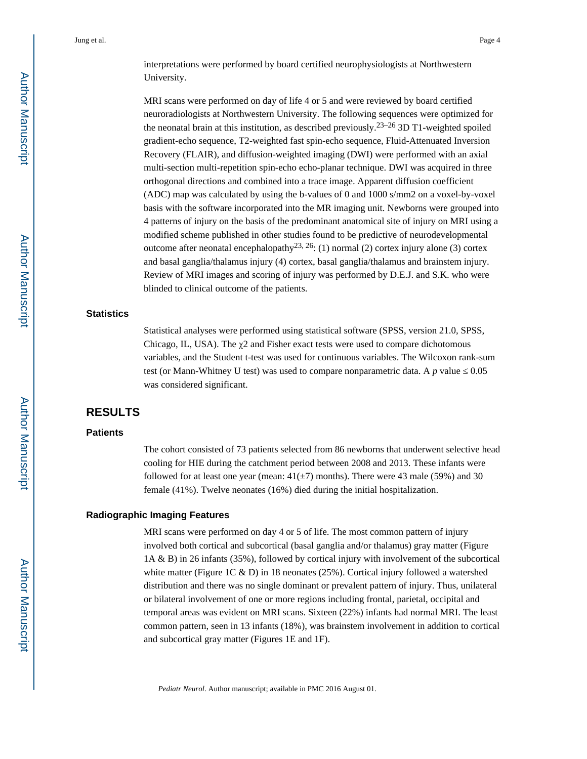interpretations were performed by board certified neurophysiologists at Northwestern University.

MRI scans were performed on day of life 4 or 5 and were reviewed by board certified neuroradiologists at Northwestern University. The following sequences were optimized for the neonatal brain at this institution, as described previously.<sup>23–26</sup> 3D T1-weighted spoiled gradient-echo sequence, T2-weighted fast spin-echo sequence, Fluid-Attenuated Inversion Recovery (FLAIR), and diffusion-weighted imaging (DWI) were performed with an axial multi-section multi-repetition spin-echo echo-planar technique. DWI was acquired in three orthogonal directions and combined into a trace image. Apparent diffusion coefficient (ADC) map was calculated by using the b-values of 0 and 1000 s/mm2 on a voxel-by-voxel basis with the software incorporated into the MR imaging unit. Newborns were grouped into 4 patterns of injury on the basis of the predominant anatomical site of injury on MRI using a modified scheme published in other studies found to be predictive of neurodevelopmental outcome after neonatal encephalopathy<sup>23, 26</sup>: (1) normal (2) cortex injury alone (3) cortex and basal ganglia/thalamus injury (4) cortex, basal ganglia/thalamus and brainstem injury. Review of MRI images and scoring of injury was performed by D.E.J. and S.K. who were blinded to clinical outcome of the patients.

#### **Statistics**

Statistical analyses were performed using statistical software (SPSS, version 21.0, SPSS, Chicago, IL, USA). The  $\chi$ 2 and Fisher exact tests were used to compare dichotomous variables, and the Student t-test was used for continuous variables. The Wilcoxon rank-sum test (or Mann-Whitney U test) was used to compare nonparametric data. A  $p$  value  $\sim 0.05$ was considered significant.

## **RESULTS**

#### **Patients**

The cohort consisted of 73 patients selected from 86 newborns that underwent selective head cooling for HIE during the catchment period between 2008 and 2013. These infants were followed for at least one year (mean:  $41(\pm 7)$  months). There were 43 male (59%) and 30 female (41%). Twelve neonates (16%) died during the initial hospitalization.

#### **Radiographic Imaging Features**

MRI scans were performed on day 4 or 5 of life. The most common pattern of injury involved both cortical and subcortical (basal ganglia and/or thalamus) gray matter (Figure 1A & B) in 26 infants (35%), followed by cortical injury with involvement of the subcortical white matter (Figure 1C & D) in 18 neonates (25%). Cortical injury followed a watershed distribution and there was no single dominant or prevalent pattern of injury. Thus, unilateral or bilateral involvement of one or more regions including frontal, parietal, occipital and temporal areas was evident on MRI scans. Sixteen (22%) infants had normal MRI. The least common pattern, seen in 13 infants (18%), was brainstem involvement in addition to cortical and subcortical gray matter (Figures 1E and 1F).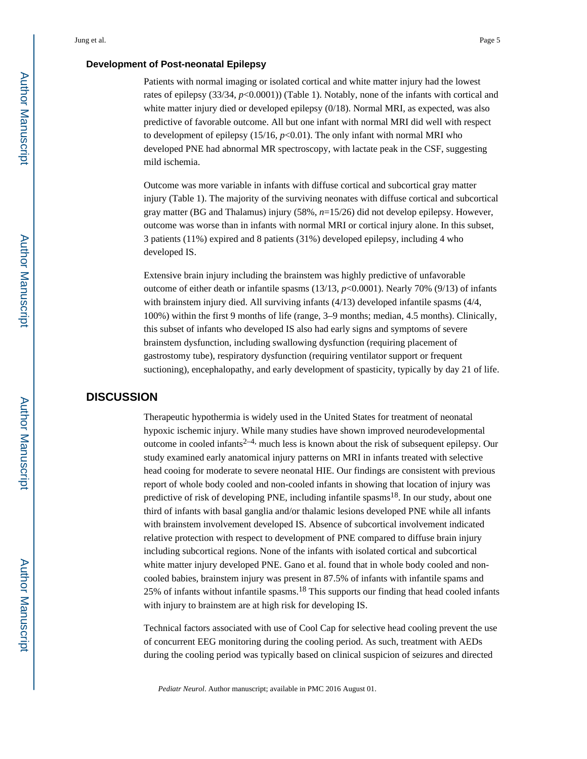#### **Development of Post-neonatal Epilepsy**

Patients with normal imaging or isolated cortical and white matter injury had the lowest rates of epilepsy (33/34,  $p$ <0.0001)) (Table 1). Notably, none of the infants with cortical and white matter injury died or developed epilepsy  $(0/18)$ . Normal MRI, as expected, was also predictive of favorable outcome. All but one infant with normal MRI did well with respect to development of epilepsy  $(15/16, p<0.01)$ . The only infant with normal MRI who developed PNE had abnormal MR spectroscopy, with lactate peak in the CSF, suggesting mild ischemia.

Outcome was more variable in infants with diffuse cortical and subcortical gray matter injury (Table 1). The majority of the surviving neonates with diffuse cortical and subcortical gray matter (BG and Thalamus) injury (58%, *n*=15/26) did not develop epilepsy. However, outcome was worse than in infants with normal MRI or cortical injury alone. In this subset, 3 patients (11%) expired and 8 patients (31%) developed epilepsy, including 4 who developed IS.

Extensive brain injury including the brainstem was highly predictive of unfavorable outcome of either death or infantile spasms (13/13, *p*<0.0001). Nearly 70% (9/13) of infants with brainstem injury died. All surviving infants (4/13) developed infantile spasms (4/4, 100%) within the first 9 months of life (range, 3–9 months; median, 4.5 months). Clinically, this subset of infants who developed IS also had early signs and symptoms of severe brainstem dysfunction, including swallowing dysfunction (requiring placement of gastrostomy tube), respiratory dysfunction (requiring ventilator support or frequent suctioning), encephalopathy, and early development of spasticity, typically by day 21 of life.

## **DISCUSSION**

Therapeutic hypothermia is widely used in the United States for treatment of neonatal hypoxic ischemic injury. While many studies have shown improved neurodevelopmental outcome in cooled infants<sup>2–4,</sup> much less is known about the risk of subsequent epilepsy. Our study examined early anatomical injury patterns on MRI in infants treated with selective head cooing for moderate to severe neonatal HIE. Our findings are consistent with previous report of whole body cooled and non-cooled infants in showing that location of injury was predictive of risk of developing PNE, including infantile spasms<sup>18</sup>. In our study, about one third of infants with basal ganglia and/or thalamic lesions developed PNE while all infants with brainstem involvement developed IS. Absence of subcortical involvement indicated relative protection with respect to development of PNE compared to diffuse brain injury including subcortical regions. None of the infants with isolated cortical and subcortical white matter injury developed PNE. Gano et al. found that in whole body cooled and noncooled babies, brainstem injury was present in 87.5% of infants with infantile spams and 25% of infants without infantile spasms.<sup>18</sup> This supports our finding that head cooled infants with injury to brainstem are at high risk for developing IS.

Technical factors associated with use of Cool Cap for selective head cooling prevent the use of concurrent EEG monitoring during the cooling period. As such, treatment with AEDs during the cooling period was typically based on clinical suspicion of seizures and directed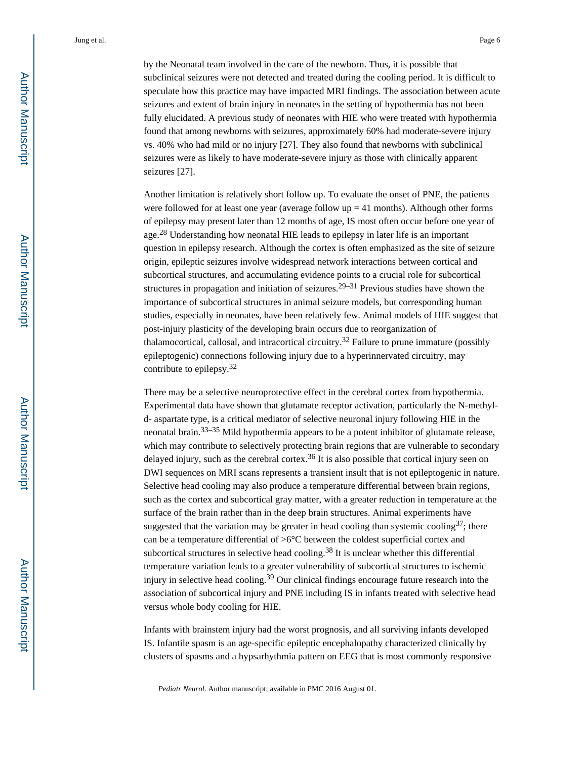by the Neonatal team involved in the care of the newborn. Thus, it is possible that subclinical seizures were not detected and treated during the cooling period. It is difficult to speculate how this practice may have impacted MRI findings. The association between acute seizures and extent of brain injury in neonates in the setting of hypothermia has not been fully elucidated. A previous study of neonates with HIE who were treated with hypothermia found that among newborns with seizures, approximately 60% had moderate-severe injury vs. 40% who had mild or no injury [27]. They also found that newborns with subclinical seizures were as likely to have moderate-severe injury as those with clinically apparent seizures [27].

Another limitation is relatively short follow up. To evaluate the onset of PNE, the patients were followed for at least one year (average follow  $up = 41$  months). Although other forms of epilepsy may present later than 12 months of age, IS most often occur before one year of age.28 Understanding how neonatal HIE leads to epilepsy in later life is an important question in epilepsy research. Although the cortex is often emphasized as the site of seizure origin, epileptic seizures involve widespread network interactions between cortical and subcortical structures, and accumulating evidence points to a crucial role for subcortical structures in propagation and initiation of seizures.<sup>29–31</sup> Previous studies have shown the importance of subcortical structures in animal seizure models, but corresponding human studies, especially in neonates, have been relatively few. Animal models of HIE suggest that post-injury plasticity of the developing brain occurs due to reorganization of thalamocortical, callosal, and intracortical circuitry.<sup>32</sup> Failure to prune immature (possibly epileptogenic) connections following injury due to a hyperinnervated circuitry, may contribute to epilepsy.<sup>32</sup>

There may be a selective neuroprotective effect in the cerebral cortex from hypothermia. Experimental data have shown that glutamate receptor activation, particularly the N-methyld- aspartate type, is a critical mediator of selective neuronal injury following HIE in the neonatal brain.<sup>33–35</sup> Mild hypothermia appears to be a potent inhibitor of glutamate release, which may contribute to selectively protecting brain regions that are vulnerable to secondary delayed injury, such as the cerebral cortex.<sup>36</sup> It is also possible that cortical injury seen on DWI sequences on MRI scans represents a transient insult that is not epileptogenic in nature. Selective head cooling may also produce a temperature differential between brain regions, such as the cortex and subcortical gray matter, with a greater reduction in temperature at the surface of the brain rather than in the deep brain structures. Animal experiments have suggested that the variation may be greater in head cooling than systemic cooling<sup>37</sup>; there can be a temperature differential of >6°C between the coldest superficial cortex and subcortical structures in selective head cooling.<sup>38</sup> It is unclear whether this differential temperature variation leads to a greater vulnerability of subcortical structures to ischemic injury in selective head cooling.<sup>39</sup> Our clinical findings encourage future research into the association of subcortical injury and PNE including IS in infants treated with selective head versus whole body cooling for HIE.

Infants with brainstem injury had the worst prognosis, and all surviving infants developed IS. Infantile spasm is an age-specific epileptic encephalopathy characterized clinically by clusters of spasms and a hypsarhythmia pattern on EEG that is most commonly responsive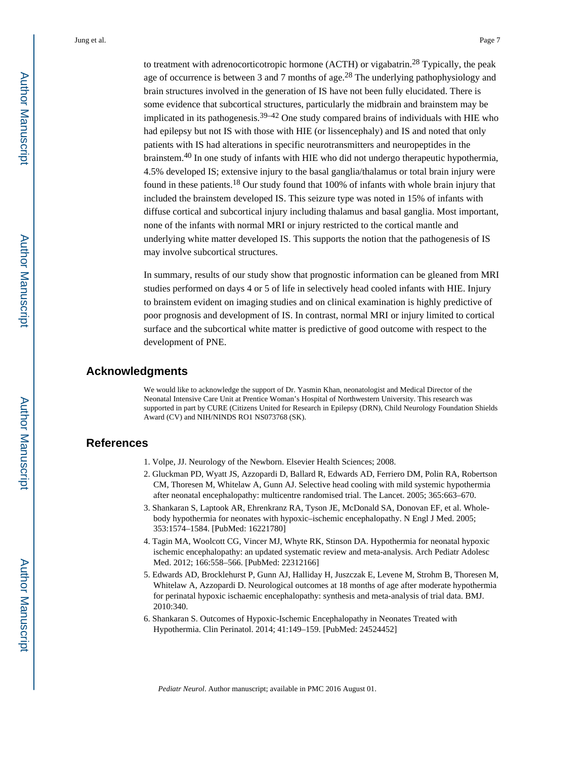to treatment with adrenocorticotropic hormone (ACTH) or vigabatrin.<sup>28</sup> Typically, the peak age of occurrence is between 3 and 7 months of age.<sup>28</sup> The underlying pathophysiology and brain structures involved in the generation of IS have not been fully elucidated. There is some evidence that subcortical structures, particularly the midbrain and brainstem may be implicated in its pathogenesis.<sup>39–42</sup> One study compared brains of individuals with HIE who had epilepsy but not IS with those with HIE (or lissencephaly) and IS and noted that only patients with IS had alterations in specific neurotransmitters and neuropeptides in the brainstem.40 In one study of infants with HIE who did not undergo therapeutic hypothermia, 4.5% developed IS; extensive injury to the basal ganglia/thalamus or total brain injury were found in these patients.18 Our study found that 100% of infants with whole brain injury that included the brainstem developed IS. This seizure type was noted in 15% of infants with diffuse cortical and subcortical injury including thalamus and basal ganglia. Most important, none of the infants with normal MRI or injury restricted to the cortical mantle and underlying white matter developed IS. This supports the notion that the pathogenesis of IS may involve subcortical structures.

In summary, results of our study show that prognostic information can be gleaned from MRI studies performed on days 4 or 5 of life in selectively head cooled infants with HIE. Injury to brainstem evident on imaging studies and on clinical examination is highly predictive of poor prognosis and development of IS. In contrast, normal MRI or injury limited to cortical surface and the subcortical white matter is predictive of good outcome with respect to the development of PNE.

## **Acknowledgments**

We would like to acknowledge the support of Dr. Yasmin Khan, neonatologist and Medical Director of the Neonatal Intensive Care Unit at Prentice Woman's Hospital of Northwestern University. This research was supported in part by CURE (Citizens United for Research in Epilepsy (DRN), Child Neurology Foundation Shields Award (CV) and NIH/NINDS RO1 NS073768 (SK).

### **References**

- 1. Volpe, JJ. Neurology of the Newborn. Elsevier Health Sciences; 2008.
- 2. Gluckman PD, Wyatt JS, Azzopardi D, Ballard R, Edwards AD, Ferriero DM, Polin RA, Robertson CM, Thoresen M, Whitelaw A, Gunn AJ. Selective head cooling with mild systemic hypothermia after neonatal encephalopathy: multicentre randomised trial. The Lancet. 2005; 365:663–670.
- 3. Shankaran S, Laptook AR, Ehrenkranz RA, Tyson JE, McDonald SA, Donovan EF, et al. Wholebody hypothermia for neonates with hypoxic–ischemic encephalopathy. N Engl J Med. 2005; 353:1574–1584. [PubMed: 16221780]
- 4. Tagin MA, Woolcott CG, Vincer MJ, Whyte RK, Stinson DA. Hypothermia for neonatal hypoxic ischemic encephalopathy: an updated systematic review and meta-analysis. Arch Pediatr Adolesc Med. 2012; 166:558–566. [PubMed: 22312166]
- 5. Edwards AD, Brocklehurst P, Gunn AJ, Halliday H, Juszczak E, Levene M, Strohm B, Thoresen M, Whitelaw A, Azzopardi D. Neurological outcomes at 18 months of age after moderate hypothermia for perinatal hypoxic ischaemic encephalopathy: synthesis and meta-analysis of trial data. BMJ. 2010:340.
- 6. Shankaran S. Outcomes of Hypoxic-Ischemic Encephalopathy in Neonates Treated with Hypothermia. Clin Perinatol. 2014; 41:149–159. [PubMed: 24524452]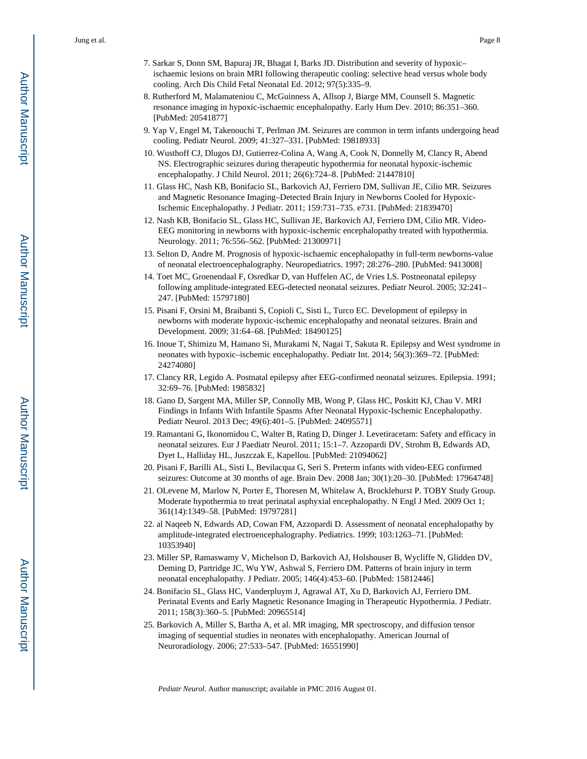- 7. Sarkar S, Donn SM, Bapuraj JR, Bhagat I, Barks JD. Distribution and severity of hypoxic– ischaemic lesions on brain MRI following therapeutic cooling: selective head versus whole body cooling. Arch Dis Child Fetal Neonatal Ed. 2012; 97(5):335–9.
- 8. Rutherford M, Malamateniou C, McGuinness A, Allsop J, Biarge MM, Counsell S. Magnetic resonance imaging in hypoxic-ischaemic encephalopathy. Early Hum Dev. 2010; 86:351–360. [PubMed: 20541877]
- 9. Yap V, Engel M, Takenouchi T, Perlman JM. Seizures are common in term infants undergoing head cooling. Pediatr Neurol. 2009; 41:327–331. [PubMed: 19818933]
- 10. Wusthoff CJ, Dlugos DJ, Gutierrez-Colina A, Wang A, Cook N, Donnelly M, Clancy R, Abend NS. Electrographic seizures during therapeutic hypothermia for neonatal hypoxic-ischemic encephalopathy. J Child Neurol. 2011; 26(6):724–8. [PubMed: 21447810]
- 11. Glass HC, Nash KB, Bonifacio SL, Barkovich AJ, Ferriero DM, Sullivan JE, Cilio MR. Seizures and Magnetic Resonance Imaging–Detected Brain Injury in Newborns Cooled for Hypoxic-Ischemic Encephalopathy. J Pediatr. 2011; 159:731–735. e731. [PubMed: 21839470]
- 12. Nash KB, Bonifacio SL, Glass HC, Sullivan JE, Barkovich AJ, Ferriero DM, Cilio MR. Video-EEG monitoring in newborns with hypoxic-ischemic encephalopathy treated with hypothermia. Neurology. 2011; 76:556–562. [PubMed: 21300971]
- 13. Selton D, Andre M. Prognosis of hypoxic-ischaemic encephalopathy in full-term newborns-value of neonatal electroencephalography. Neuropediatrics. 1997; 28:276–280. [PubMed: 9413008]
- 14. Toet MC, Groenendaal F, Osredkar D, van Huffelen AC, de Vries LS. Postneonatal epilepsy following amplitude-integrated EEG-detected neonatal seizures. Pediatr Neurol. 2005; 32:241– 247. [PubMed: 15797180]
- 15. Pisani F, Orsini M, Braibanti S, Copioli C, Sisti L, Turco EC. Development of epilepsy in newborns with moderate hypoxic-ischemic encephalopathy and neonatal seizures. Brain and Development. 2009; 31:64–68. [PubMed: 18490125]
- 16. Inoue T, Shimizu M, Hamano Si, Murakami N, Nagai T, Sakuta R. Epilepsy and West syndrome in neonates with hypoxic–ischemic encephalopathy. Pediatr Int. 2014; 56(3):369–72. [PubMed: 24274080]
- 17. Clancy RR, Legido A. Postnatal epilepsy after EEG-confirmed neonatal seizures. Epilepsia. 1991; 32:69–76. [PubMed: 1985832]
- 18. Gano D, Sargent MA, Miller SP, Connolly MB, Wong P, Glass HC, Poskitt KJ, Chau V. MRI Findings in Infants With Infantile Spasms After Neonatal Hypoxic-Ischemic Encephalopathy. Pediatr Neurol. 2013 Dec; 49(6):401–5. [PubMed: 24095571]
- 19. Ramantani G, Ikonomidou C, Walter B, Rating D, Dinger J. Levetiracetam: Safety and efficacy in neonatal seizures. Eur J Paediatr Neurol. 2011; 15:1–7. Azzopardi DV, Strohm B, Edwards AD, Dyet L, Halliday HL, Juszczak E, Kapellou. [PubMed: 21094062]
- 20. Pisani F, Barilli AL, Sisti L, Bevilacqua G, Seri S. Preterm infants with video-EEG confirmed seizures: Outcome at 30 months of age. Brain Dev. 2008 Jan; 30(1):20–30. [PubMed: 17964748]
- 21. OLevene M, Marlow N, Porter E, Thoresen M, Whitelaw A, Brocklehurst P. TOBY Study Group. Moderate hypothermia to treat perinatal asphyxial encephalopathy. N Engl J Med. 2009 Oct 1; 361(14):1349–58. [PubMed: 19797281]
- 22. al Naqeeb N, Edwards AD, Cowan FM, Azzopardi D. Assessment of neonatal encephalopathy by amplitude-integrated electroencephalography. Pediatrics. 1999; 103:1263–71. [PubMed: 10353940]
- 23. Miller SP, Ramaswamy V, Michelson D, Barkovich AJ, Holshouser B, Wycliffe N, Glidden DV, Deming D, Partridge JC, Wu YW, Ashwal S, Ferriero DM. Patterns of brain injury in term neonatal encephalopathy. J Pediatr. 2005; 146(4):453–60. [PubMed: 15812446]
- 24. Bonifacio SL, Glass HC, Vanderpluym J, Agrawal AT, Xu D, Barkovich AJ, Ferriero DM. Perinatal Events and Early Magnetic Resonance Imaging in Therapeutic Hypothermia. J Pediatr. 2011; 158(3):360–5. [PubMed: 20965514]
- 25. Barkovich A, Miller S, Bartha A, et al. MR imaging, MR spectroscopy, and diffusion tensor imaging of sequential studies in neonates with encephalopathy. American Journal of Neuroradiology. 2006; 27:533–547. [PubMed: 16551990]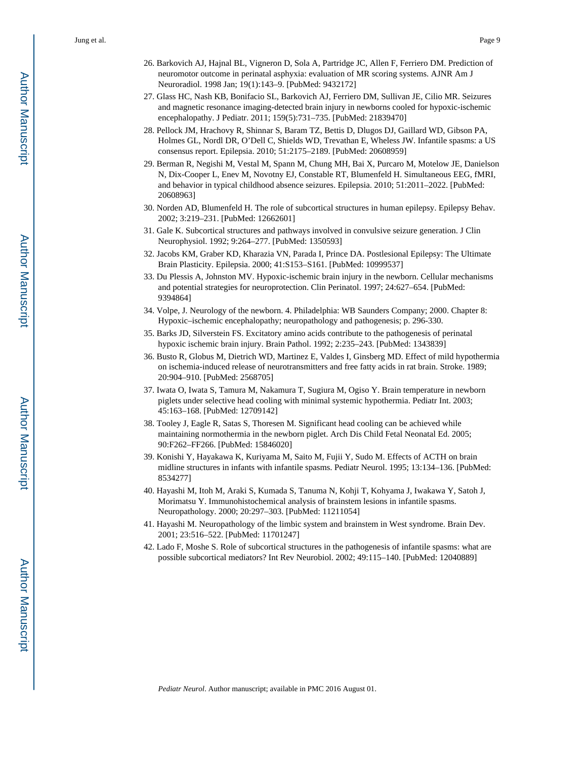- 26. Barkovich AJ, Hajnal BL, Vigneron D, Sola A, Partridge JC, Allen F, Ferriero DM. Prediction of neuromotor outcome in perinatal asphyxia: evaluation of MR scoring systems. AJNR Am J Neuroradiol. 1998 Jan; 19(1):143–9. [PubMed: 9432172]
- 27. Glass HC, Nash KB, Bonifacio SL, Barkovich AJ, Ferriero DM, Sullivan JE, Cilio MR. Seizures and magnetic resonance imaging-detected brain injury in newborns cooled for hypoxic-ischemic encephalopathy. J Pediatr. 2011; 159(5):731–735. [PubMed: 21839470]
- 28. Pellock JM, Hrachovy R, Shinnar S, Baram TZ, Bettis D, Dlugos DJ, Gaillard WD, Gibson PA, Holmes GL, Nordl DR, O'Dell C, Shields WD, Trevathan E, Wheless JW. Infantile spasms: a US consensus report. Epilepsia. 2010; 51:2175–2189. [PubMed: 20608959]
- 29. Berman R, Negishi M, Vestal M, Spann M, Chung MH, Bai X, Purcaro M, Motelow JE, Danielson N, Dix-Cooper L, Enev M, Novotny EJ, Constable RT, Blumenfeld H. Simultaneous EEG, fMRI, and behavior in typical childhood absence seizures. Epilepsia. 2010; 51:2011–2022. [PubMed: 20608963]
- 30. Norden AD, Blumenfeld H. The role of subcortical structures in human epilepsy. Epilepsy Behav. 2002; 3:219–231. [PubMed: 12662601]
- 31. Gale K. Subcortical structures and pathways involved in convulsive seizure generation. J Clin Neurophysiol. 1992; 9:264–277. [PubMed: 1350593]
- 32. Jacobs KM, Graber KD, Kharazia VN, Parada I, Prince DA. Postlesional Epilepsy: The Ultimate Brain Plasticity. Epilepsia. 2000; 41:S153–S161. [PubMed: 10999537]
- 33. Du Plessis A, Johnston MV. Hypoxic-ischemic brain injury in the newborn. Cellular mechanisms and potential strategies for neuroprotection. Clin Perinatol. 1997; 24:627–654. [PubMed: 9394864]
- 34. Volpe, J. Neurology of the newborn. 4. Philadelphia: WB Saunders Company; 2000. Chapter 8: Hypoxic–ischemic encephalopathy; neuropathology and pathogenesis; p. 296-330.
- 35. Barks JD, Silverstein FS. Excitatory amino acids contribute to the pathogenesis of perinatal hypoxic ischemic brain injury. Brain Pathol. 1992; 2:235–243. [PubMed: 1343839]
- 36. Busto R, Globus M, Dietrich WD, Martinez E, Valdes I, Ginsberg MD. Effect of mild hypothermia on ischemia-induced release of neurotransmitters and free fatty acids in rat brain. Stroke. 1989; 20:904–910. [PubMed: 2568705]
- 37. Iwata O, Iwata S, Tamura M, Nakamura T, Sugiura M, Ogiso Y. Brain temperature in newborn piglets under selective head cooling with minimal systemic hypothermia. Pediatr Int. 2003; 45:163–168. [PubMed: 12709142]
- 38. Tooley J, Eagle R, Satas S, Thoresen M. Significant head cooling can be achieved while maintaining normothermia in the newborn piglet. Arch Dis Child Fetal Neonatal Ed. 2005; 90:F262–FF266. [PubMed: 15846020]
- 39. Konishi Y, Hayakawa K, Kuriyama M, Saito M, Fujii Y, Sudo M. Effects of ACTH on brain midline structures in infants with infantile spasms. Pediatr Neurol. 1995; 13:134–136. [PubMed: 8534277]
- 40. Hayashi M, Itoh M, Araki S, Kumada S, Tanuma N, Kohji T, Kohyama J, Iwakawa Y, Satoh J, Morimatsu Y. Immunohistochemical analysis of brainstem lesions in infantile spasms. Neuropathology. 2000; 20:297–303. [PubMed: 11211054]
- 41. Hayashi M. Neuropathology of the limbic system and brainstem in West syndrome. Brain Dev. 2001; 23:516–522. [PubMed: 11701247]
- 42. Lado F, Moshe S. Role of subcortical structures in the pathogenesis of infantile spasms: what are possible subcortical mediators? Int Rev Neurobiol. 2002; 49:115–140. [PubMed: 12040889]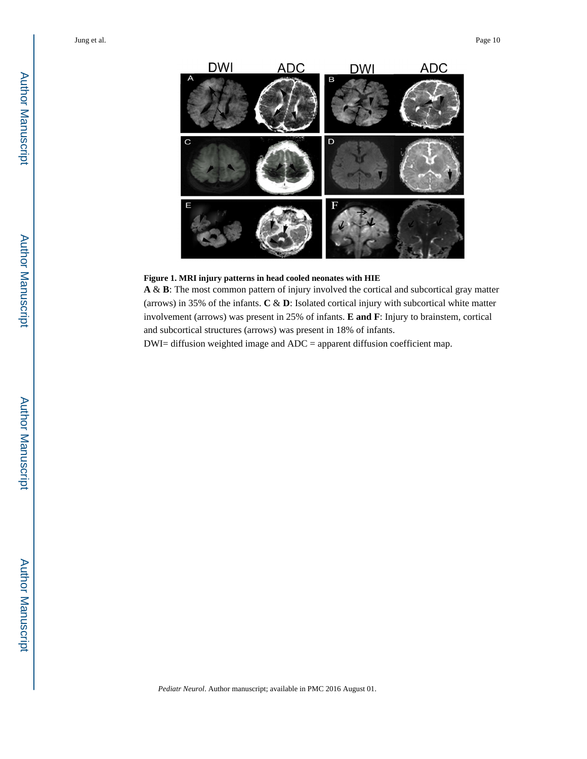

#### **Figure 1. MRI injury patterns in head cooled neonates with HIE**

**A** & **B**: The most common pattern of injury involved the cortical and subcortical gray matter (arrows) in 35% of the infants. **C** & **D**: Isolated cortical injury with subcortical white matter involvement (arrows) was present in 25% of infants. **E and F**: Injury to brainstem, cortical and subcortical structures (arrows) was present in 18% of infants.

DWI= diffusion weighted image and ADC = apparent diffusion coefficient map.